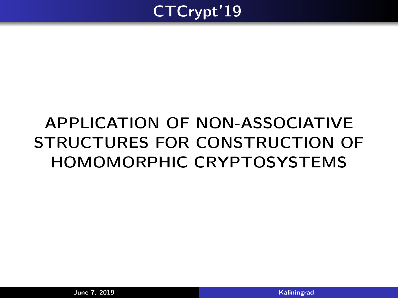<span id="page-0-0"></span>

# APPLICATION OF NON-ASSOCIATIVE STRUCTURES FOR CONSTRUCTION OF HOMOMORPHIC CRYPTOSYSTEMS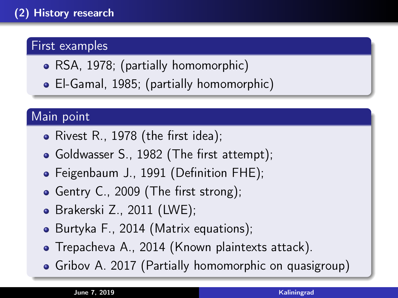# First examples

- RSA, 1978; (partially homomorphic)
- El-Gamal, 1985; (partially homomorphic)

# Main point

- Rivest R., 1978 (the first idea);
- Goldwasser S., 1982 (The first attempt);
- Feigenbaum J., 1991 (Definition FHE);
- Gentry C., 2009 (The first strong);
- Brakerski Z., 2011 (LWE);
- Burtyka F., 2014 (Matrix equations);
- Trepacheva A., 2014 (Known plaintexts attack).
- Gribov A. 2017 (Partially homomorphic on quasigroup)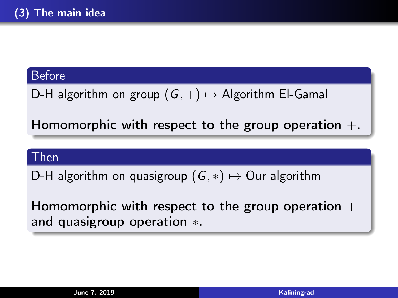#### Before

D-H algorithm on group  $(G,+) \mapsto$  Algorithm El-Gamal

Homomorphic with respect to the group operation  $+$ .

#### Then

D-H algorithm on quasigroup  $(G, *) \mapsto$  Our algorithm

Homomorphic with respect to the group operation  $+$ and quasigroup operation \*.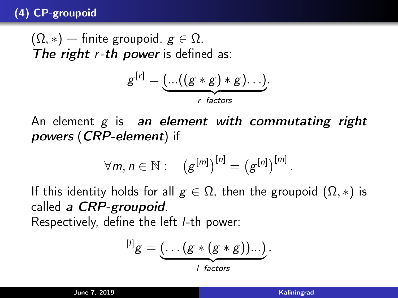## (4) CP-groupoid

 $(\Omega, *)$  — finite groupoid.  $g \in \Omega$ . The right  $r-th$  power is defined as:

$$
g^{[r]} = \underbrace{(\dots((g * g) * g)\dots)}_{r \text{ factors}}.
$$

An element  $g$  is an element with commutating right powers (CRP-element) if

$$
\forall m, n \in \mathbb{N}: \quad (g^{[m]})^{[n]} = (g^{[n]})^{[m]}.
$$

If this identity holds for all  $g \in \Omega$ , then the groupoid  $(\Omega, *)$  is called a CRP-groupoid. Respectively, define the left l-th power:

$$
[t]g = \underbrace{(\dots (g * (g * g))...)}_{t \text{ factors}}.
$$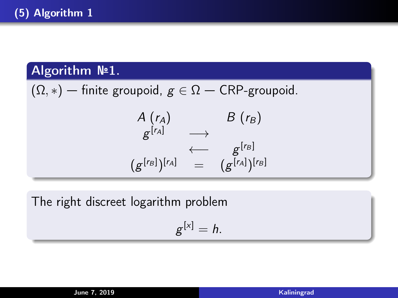# Algorithm №1.

 $(\Omega, *)$  — finite groupoid,  $g \in \Omega$  — CRP-groupoid.  $A(r_A)$   $B(r_B)$  $g^{\lbrack r_{A}]} \qquad \longrightarrow$  $\longleftarrow$  g<sup>[rB]</sup>  $(g^{[r_B]})^{[r_A]} = (g^{[r_A]})^{[r_B]}$ 

The right discreet logarithm problem

$$
g^{[x]}=h.
$$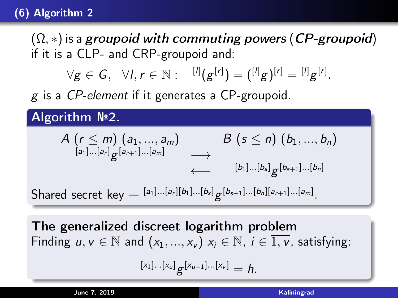# (6) Algorithm 2

 $(\Omega,*)$  is a groupoid with commuting powers (CP-groupoid) if it is a CLP- and CRP-groupoid and:

$$
\forall g \in G, \ \forall l, r \in \mathbb{N}: \ \{l^l | g^{[r]} \} = \binom{[l]}{g}^{[r]} = \frac{[l]}{g}^{[r]}.
$$

g is a CP-element if it generates a CP-groupoid.

Algorithm №2.

$$
A\left(r \leq m\right) (a_1, ..., a_m) \qquad B\left(s \leq n\right) (b_1, ..., b_n)
$$
\n
$$
\longleftrightarrow \qquad \qquad [a_1]...[a_r] \, g^{[a_{r+1}]}...[a_m] \qquad \longrightarrow \qquad \qquad [b_1]...[b_s] \, g^{[b_{s+1}]...[b_n]}
$$
\n
$$
A\left(r \leq m\right) (a_1, ..., a_m) \qquad \qquad [a_1]...[a_r][b_1]...[b_s] \, g^{[b_{s+1}]...[b_n]}
$$

Shared secret key —  $a_1 | a_1 | a_2 | a_3 | a_4 | b_5 | g$ .

The generalized discreet logarithm problem Finding  $u, v \in \mathbb{N}$  and  $(x_1, ..., x_v)$   $x_i \in \mathbb{N}$ ,  $i \in \overline{1, v}$ , satisfying:

 $[x_1]...[x_u]$   $g^{[x_{u+1}]}...[x_v] = h$ .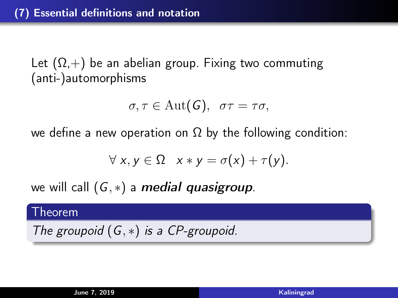Let  $(\Omega,+)$  be an abelian group. Fixing two commuting (anti-)automorphisms

$$
\sigma, \tau \in \text{Aut}(G), \ \ \sigma\tau = \tau\sigma,
$$

we define a new operation on  $\Omega$  by the following condition:

$$
\forall x, y \in \Omega \quad x * y = \sigma(x) + \tau(y).
$$

we will call  $(G, *)$  a *medial quasigroup*.

#### Theorem

The groupoid  $(G, *)$  is a CP-groupoid.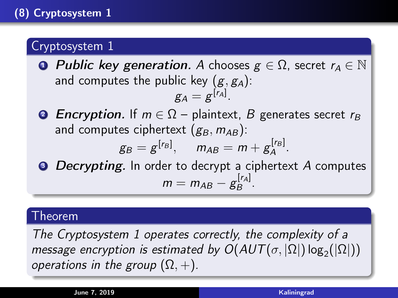# Cryptosystem 1

**• Public key generation.** A chooses  $g \in \Omega$ , secret  $r_A \in \mathbb{N}$ and computes the public key  $(g, g_A)$ :

$$
g_A=g^{[r_A]}.
$$

**2** Encryption. If  $m \in \Omega$  – plaintext, B generates secret  $r_B$ and computes ciphertext  $(g_B, m_{AB})$ :

$$
g_B = g^{[r_B]}, \quad m_{AB} = m + g_A^{[r_B]}.
$$

**• Decrypting.** In order to decrypt a ciphertext A computes  $m=m_{AB}-g_B^{[r_A]}$ .[ra]<br>B

#### Theorem

The Cryptosystem 1 operates correctly, the complexity of a message encryption is estimated by  $O(AUT(\sigma, |\Omega|) \log_2(|\Omega|))$ operations in the group  $(\Omega, +)$ .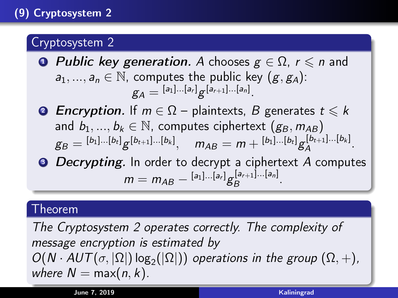# Cryptosystem 2

- **Public key generation.** A chooses  $g \in \Omega$ ,  $r \le n$  and  $a_1, ..., a_n \in \mathbb{N}$ , computes the public key  $(g, g_A)$ :  $g_A = {}^{[a_1]...[a_r]}g^{[a_{r+1}]...[a_n]}.$
- **2** Encryption. If  $m \in \Omega$  plaintexts, B generates  $t \le k$ and  $b_1, ..., b_k \in \mathbb{N}$ , computes ciphertext  $(g_B, m_{AB})$  $\begin{array}{ll} \vspace{2mm} g_B = {}^{[b_1]...[b_t]} g^{[b_{t+1}]...[b_k]}, \quad m_{AB} = m + {}^{[b_1]...[b_t]} g_A^{[b_{t+1}]...[b_k]} \end{array}$  $A^{[\nu_{t+1}]\cdots[\nu_k]}.$
- **Decrypting.** In order to decrypt a ciphertext A computes  $m = m_{AB} - {}^{[a_1]...[a_r]}g_B^{[a_{r+1}]...[a_n]}$  $B^{[a_{r+1}]\dots[a_n]}\cdot$

#### Theorem

The Cryptosystem 2 operates correctly. The complexity of message encryption is estimated by  $O(N \cdot AUT(\sigma, |\Omega|) \log_2(|\Omega|))$  operations in the group  $(\Omega, +)$ , where  $N = \max(n, k)$ .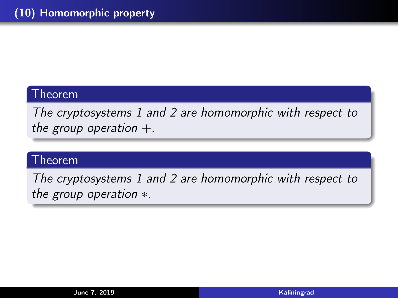# Theorem

The cryptosystems 1 and 2 are homomorphic with respect to the group operation  $+$ .

# Theorem

The cryptosystems 1 and 2 are homomorphic with respect to the group operation \*.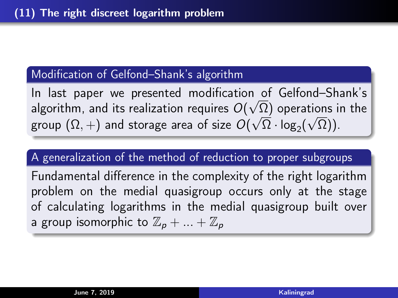#### Modification of Gelfond–Shank's algorithm

In last paper we presented modification of Gelfond–Shank's √ algorithm, and its realization requires  $O(\sqrt{\Omega})$  operations in the group  $(\Omega,+)$  and storage area of size  $O(\sqrt{\Omega} \cdot \log_2 (\sqrt{\Omega}))$ .

#### A generalization of the method of reduction to proper subgroups

Fundamental difference in the complexity of the right logarithm problem on the medial quasigroup occurs only at the stage of calculating logarithms in the medial quasigroup built over a group isomorphic to  $\mathbb{Z}_p + ... + \mathbb{Z}_p$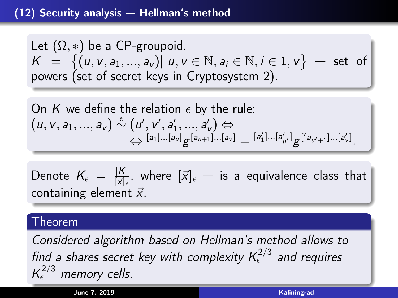#### (12) Security analysis — Hellman's method

Let  $(\Omega, *)$  be a CP-groupoid.  $K = \{ (u, v, a_1, ..., a_v) | u, v \in \mathbb{N}, a_i \in \mathbb{N}, i \in \overline{1, v} \}$  - set of powers (set of secret keys in Cryptosystem 2).

On K we define the relation 
$$
\epsilon
$$
 by the rule:  
\n $(u, v, a_1, ..., a_v) \stackrel{\epsilon}{\sim} (u', v', a'_1, ..., a'_v) \Leftrightarrow$   
\n $\Leftrightarrow {}^{[a_1]...[a_u]}g^{[a_{u+1}]...[a_v]} = {}^{[a'_1]...[a'_u]}g^{[a_{u'+1}...[a'_v]}.$ 

Denote  $K_{\epsilon} = \frac{|K|}{|\vec{x}|_{\epsilon}}$  $\frac{|K|}{|\vec{x}|_{\epsilon}}$ , where  $[\vec{x}]_{\epsilon}$  — is a equivalence class that containing element  $\vec{x}$ .

#### Theorem

Considered algorithm based on Hellman's method allows to find a shares secret key with complexity  $\mathcal{K}^{2/3}_\epsilon$  and requires  $K_{\epsilon}^{2/3}$  memory cells.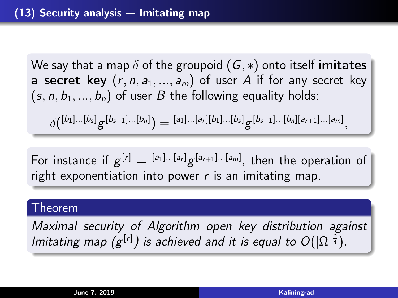We say that a map  $\delta$  of the groupoid  $(G, *)$  onto itself imitates a secret key  $(r, n, a_1, ..., a_m)$  of user A if for any secret key  $(s, n, b_1, ..., b_n)$  of user B the following equality holds:

 $\delta({}^{[b_1]...[b_s]}g^{[b_{s+1}]...[b_n]})={}^{[a_1]...[a_r][b_1]...[b_s]}g^{[b_{s+1}]...[b_n][a_{r+1}]...[a_m]},$ 

For instance if  $g^{[r]} = {}^{[a_1]...[a_r]}g^{[a_{r+1}]...[a_m]}$ , then the operation of right exponentiation into power  $r$  is an imitating map.

#### Theorem

Maximal security of Algorithm open key distribution against Imitating map  $(g^{[r]})$  is achieved and it is equal to  $O(|\Omega|^{\frac{3}{4}})$ .